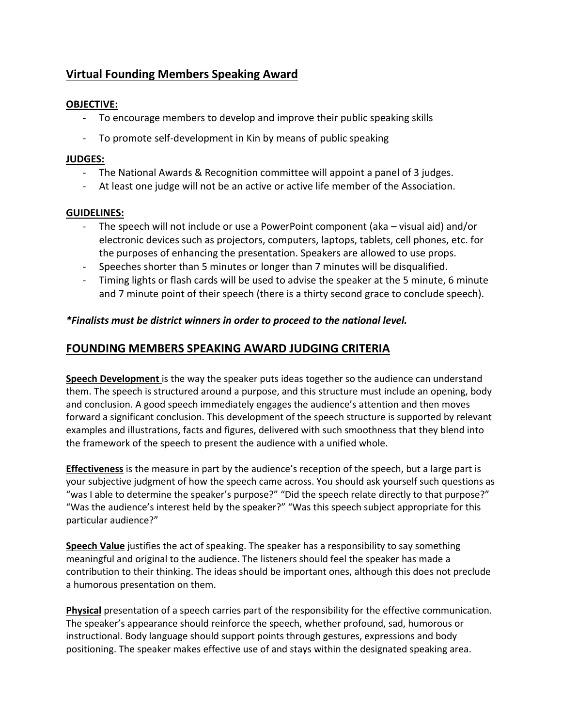# **Virtual Founding Members Speaking Award**

### **OBJECTIVE:**

- To encourage members to develop and improve their public speaking skills
- To promote self-development in Kin by means of public speaking

#### **JUDGES:**

- The National Awards & Recognition committee will appoint a panel of 3 judges.
- At least one judge will not be an active or active life member of the Association.

#### **GUIDELINES:**

- The speech will not include or use a PowerPoint component (aka visual aid) and/or electronic devices such as projectors, computers, laptops, tablets, cell phones, etc. for the purposes of enhancing the presentation. Speakers are allowed to use props.
- Speeches shorter than 5 minutes or longer than 7 minutes will be disqualified.
- Timing lights or flash cards will be used to advise the speaker at the 5 minute, 6 minute and 7 minute point of their speech (there is a thirty second grace to conclude speech).

#### *\*Finalists must be district winners in order to proceed to the national level.*

### **FOUNDING MEMBERS SPEAKING AWARD JUDGING CRITERIA**

**Speech Development** is the way the speaker puts ideas together so the audience can understand them. The speech is structured around a purpose, and this structure must include an opening, body and conclusion. A good speech immediately engages the audience's attention and then moves forward a significant conclusion. This development of the speech structure is supported by relevant examples and illustrations, facts and figures, delivered with such smoothness that they blend into the framework of the speech to present the audience with a unified whole.

**Effectiveness** is the measure in part by the audience's reception of the speech, but a large part is your subjective judgment of how the speech came across. You should ask yourself such questions as "was I able to determine the speaker's purpose?" "Did the speech relate directly to that purpose?" "Was the audience's interest held by the speaker?" "Was this speech subject appropriate for this particular audience?"

**Speech Value** justifies the act of speaking. The speaker has a responsibility to say something meaningful and original to the audience. The listeners should feel the speaker has made a contribution to their thinking. The ideas should be important ones, although this does not preclude a humorous presentation on them.

**Physical** presentation of a speech carries part of the responsibility for the effective communication. The speaker's appearance should reinforce the speech, whether profound, sad, humorous or instructional. Body language should support points through gestures, expressions and body positioning. The speaker makes effective use of and stays within the designated speaking area.